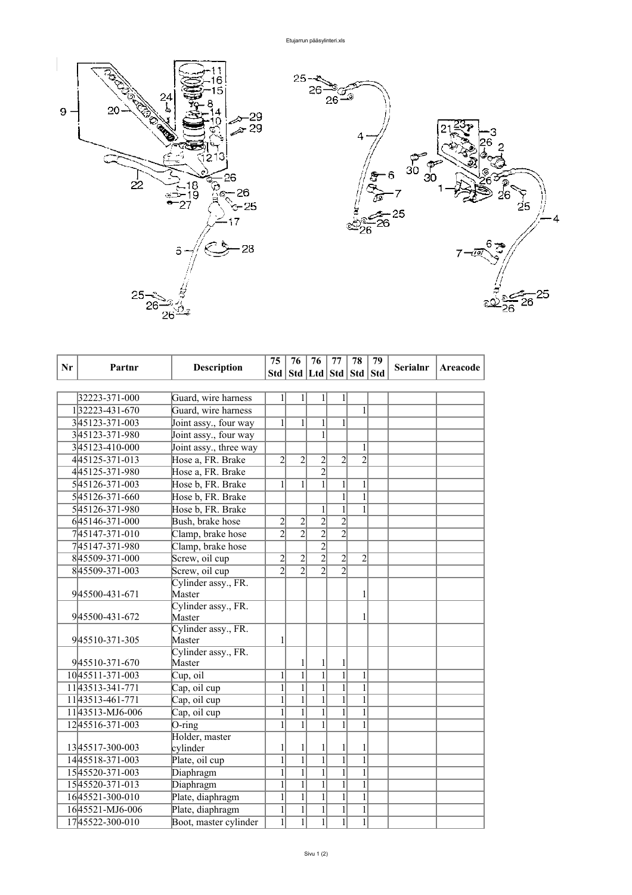

| Nr | Partnr                                                                                                                                                                                                                                                                                 | <b>Description</b>                                                                                                                                                                                                                                                                                                       | 75                                                                                                                                                                                                                   | 76                                                                                                                                                                                                            | 76                                                                                                                                                                                                   | 77                                                                                                                                    | 78                                                                                                                                                     | 79 | <b>Serialnr</b> | <b>Areacode</b> |
|----|----------------------------------------------------------------------------------------------------------------------------------------------------------------------------------------------------------------------------------------------------------------------------------------|--------------------------------------------------------------------------------------------------------------------------------------------------------------------------------------------------------------------------------------------------------------------------------------------------------------------------|----------------------------------------------------------------------------------------------------------------------------------------------------------------------------------------------------------------------|---------------------------------------------------------------------------------------------------------------------------------------------------------------------------------------------------------------|------------------------------------------------------------------------------------------------------------------------------------------------------------------------------------------------------|---------------------------------------------------------------------------------------------------------------------------------------|--------------------------------------------------------------------------------------------------------------------------------------------------------|----|-----------------|-----------------|
|    |                                                                                                                                                                                                                                                                                        |                                                                                                                                                                                                                                                                                                                          |                                                                                                                                                                                                                      |                                                                                                                                                                                                               | Std   Std   Ltd   Std   Std   Std                                                                                                                                                                    |                                                                                                                                       |                                                                                                                                                        |    |                 |                 |
|    |                                                                                                                                                                                                                                                                                        |                                                                                                                                                                                                                                                                                                                          |                                                                                                                                                                                                                      |                                                                                                                                                                                                               |                                                                                                                                                                                                      |                                                                                                                                       |                                                                                                                                                        |    |                 |                 |
|    | 32223-371-000                                                                                                                                                                                                                                                                          | Guard, wire harness                                                                                                                                                                                                                                                                                                      | $\mathbf{1}$                                                                                                                                                                                                         | $\mathbf{1}$                                                                                                                                                                                                  | $\mathbf{1}$                                                                                                                                                                                         | $\mathbf{1}$                                                                                                                          |                                                                                                                                                        |    |                 |                 |
|    | 132223-431-670                                                                                                                                                                                                                                                                         | Guard, wire harness                                                                                                                                                                                                                                                                                                      |                                                                                                                                                                                                                      |                                                                                                                                                                                                               |                                                                                                                                                                                                      |                                                                                                                                       | 1                                                                                                                                                      |    |                 |                 |
|    | 345123-371-003                                                                                                                                                                                                                                                                         | Joint assy., four way                                                                                                                                                                                                                                                                                                    | $\mathbf{1}$                                                                                                                                                                                                         | $\mathbf{1}$                                                                                                                                                                                                  | $\mathbf{1}$                                                                                                                                                                                         | 1                                                                                                                                     |                                                                                                                                                        |    |                 |                 |
|    | 345123-371-980                                                                                                                                                                                                                                                                         | Joint assy., four way                                                                                                                                                                                                                                                                                                    |                                                                                                                                                                                                                      |                                                                                                                                                                                                               | $\mathbf{1}$                                                                                                                                                                                         |                                                                                                                                       |                                                                                                                                                        |    |                 |                 |
|    | 345123-410-000                                                                                                                                                                                                                                                                         | Joint assy., three way                                                                                                                                                                                                                                                                                                   |                                                                                                                                                                                                                      |                                                                                                                                                                                                               |                                                                                                                                                                                                      |                                                                                                                                       | 1                                                                                                                                                      |    |                 |                 |
|    | 445125-371-013                                                                                                                                                                                                                                                                         | Hose a, FR. Brake                                                                                                                                                                                                                                                                                                        | $\overline{2}$                                                                                                                                                                                                       | $\overline{2}$                                                                                                                                                                                                | $\overline{c}$                                                                                                                                                                                       | $\overline{2}$                                                                                                                        | $\overline{2}$                                                                                                                                         |    |                 |                 |
|    | 445125-371-980                                                                                                                                                                                                                                                                         | Hose a, FR. Brake                                                                                                                                                                                                                                                                                                        |                                                                                                                                                                                                                      |                                                                                                                                                                                                               | $\overline{2}$                                                                                                                                                                                       |                                                                                                                                       |                                                                                                                                                        |    |                 |                 |
|    | 545126-371-003                                                                                                                                                                                                                                                                         | Hose b, FR. Brake                                                                                                                                                                                                                                                                                                        | $\mathbf{1}$                                                                                                                                                                                                         | $\mathbf{1}$                                                                                                                                                                                                  | $\mathbf{1}$                                                                                                                                                                                         | 1                                                                                                                                     | 1                                                                                                                                                      |    |                 |                 |
|    | 545126-371-660                                                                                                                                                                                                                                                                         | Hose b, FR. Brake                                                                                                                                                                                                                                                                                                        |                                                                                                                                                                                                                      |                                                                                                                                                                                                               |                                                                                                                                                                                                      | 1                                                                                                                                     | $\mathbf{1}$                                                                                                                                           |    |                 |                 |
|    | 545126-371-980                                                                                                                                                                                                                                                                         | Hose b, FR. Brake                                                                                                                                                                                                                                                                                                        |                                                                                                                                                                                                                      |                                                                                                                                                                                                               | $\mathbf{1}$                                                                                                                                                                                         | $\mathbf{1}$                                                                                                                          | 1                                                                                                                                                      |    |                 |                 |
|    | 645146-371-000                                                                                                                                                                                                                                                                         | Bush, brake hose                                                                                                                                                                                                                                                                                                         | $\overline{c}$                                                                                                                                                                                                       | $\overline{c}$                                                                                                                                                                                                | $\frac{2}{2}$                                                                                                                                                                                        | $\overline{2}$                                                                                                                        |                                                                                                                                                        |    |                 |                 |
|    | 745147-371-010                                                                                                                                                                                                                                                                         | Clamp, brake hose                                                                                                                                                                                                                                                                                                        | $\overline{2}$                                                                                                                                                                                                       | $\overline{2}$                                                                                                                                                                                                |                                                                                                                                                                                                      | $\overline{2}$                                                                                                                        |                                                                                                                                                        |    |                 |                 |
|    | 745147-371-980                                                                                                                                                                                                                                                                         | Clamp, brake hose                                                                                                                                                                                                                                                                                                        |                                                                                                                                                                                                                      |                                                                                                                                                                                                               | $\overline{2}$                                                                                                                                                                                       |                                                                                                                                       |                                                                                                                                                        |    |                 |                 |
|    | 845509-371-000                                                                                                                                                                                                                                                                         | Screw, oil cup                                                                                                                                                                                                                                                                                                           | $\overline{c}$                                                                                                                                                                                                       | $\overline{2}$                                                                                                                                                                                                | $\overline{2}$                                                                                                                                                                                       | $\overline{2}$                                                                                                                        | $\overline{2}$                                                                                                                                         |    |                 |                 |
|    | 845509-371-003                                                                                                                                                                                                                                                                         | Screw, oil cup                                                                                                                                                                                                                                                                                                           | $\overline{2}$                                                                                                                                                                                                       | $\overline{2}$                                                                                                                                                                                                | $\overline{2}$                                                                                                                                                                                       | $\overline{2}$                                                                                                                        |                                                                                                                                                        |    |                 |                 |
|    |                                                                                                                                                                                                                                                                                        | Cylinder assy., FR.                                                                                                                                                                                                                                                                                                      |                                                                                                                                                                                                                      |                                                                                                                                                                                                               |                                                                                                                                                                                                      |                                                                                                                                       |                                                                                                                                                        |    |                 |                 |
|    | 945500-431-671                                                                                                                                                                                                                                                                         | Master                                                                                                                                                                                                                                                                                                                   |                                                                                                                                                                                                                      |                                                                                                                                                                                                               |                                                                                                                                                                                                      |                                                                                                                                       | 1                                                                                                                                                      |    |                 |                 |
|    |                                                                                                                                                                                                                                                                                        |                                                                                                                                                                                                                                                                                                                          |                                                                                                                                                                                                                      |                                                                                                                                                                                                               |                                                                                                                                                                                                      |                                                                                                                                       |                                                                                                                                                        |    |                 |                 |
|    |                                                                                                                                                                                                                                                                                        |                                                                                                                                                                                                                                                                                                                          |                                                                                                                                                                                                                      |                                                                                                                                                                                                               |                                                                                                                                                                                                      |                                                                                                                                       |                                                                                                                                                        |    |                 |                 |
|    |                                                                                                                                                                                                                                                                                        |                                                                                                                                                                                                                                                                                                                          |                                                                                                                                                                                                                      |                                                                                                                                                                                                               |                                                                                                                                                                                                      |                                                                                                                                       |                                                                                                                                                        |    |                 |                 |
|    |                                                                                                                                                                                                                                                                                        |                                                                                                                                                                                                                                                                                                                          |                                                                                                                                                                                                                      |                                                                                                                                                                                                               |                                                                                                                                                                                                      |                                                                                                                                       |                                                                                                                                                        |    |                 |                 |
|    |                                                                                                                                                                                                                                                                                        |                                                                                                                                                                                                                                                                                                                          |                                                                                                                                                                                                                      |                                                                                                                                                                                                               |                                                                                                                                                                                                      |                                                                                                                                       |                                                                                                                                                        |    |                 |                 |
|    |                                                                                                                                                                                                                                                                                        |                                                                                                                                                                                                                                                                                                                          |                                                                                                                                                                                                                      |                                                                                                                                                                                                               |                                                                                                                                                                                                      |                                                                                                                                       |                                                                                                                                                        |    |                 |                 |
|    |                                                                                                                                                                                                                                                                                        |                                                                                                                                                                                                                                                                                                                          |                                                                                                                                                                                                                      |                                                                                                                                                                                                               |                                                                                                                                                                                                      |                                                                                                                                       |                                                                                                                                                        |    |                 |                 |
|    |                                                                                                                                                                                                                                                                                        |                                                                                                                                                                                                                                                                                                                          |                                                                                                                                                                                                                      |                                                                                                                                                                                                               |                                                                                                                                                                                                      |                                                                                                                                       |                                                                                                                                                        |    |                 |                 |
|    |                                                                                                                                                                                                                                                                                        |                                                                                                                                                                                                                                                                                                                          |                                                                                                                                                                                                                      |                                                                                                                                                                                                               |                                                                                                                                                                                                      |                                                                                                                                       |                                                                                                                                                        |    |                 |                 |
|    |                                                                                                                                                                                                                                                                                        |                                                                                                                                                                                                                                                                                                                          |                                                                                                                                                                                                                      |                                                                                                                                                                                                               |                                                                                                                                                                                                      |                                                                                                                                       |                                                                                                                                                        |    |                 |                 |
|    |                                                                                                                                                                                                                                                                                        |                                                                                                                                                                                                                                                                                                                          |                                                                                                                                                                                                                      |                                                                                                                                                                                                               |                                                                                                                                                                                                      |                                                                                                                                       |                                                                                                                                                        |    |                 |                 |
|    |                                                                                                                                                                                                                                                                                        |                                                                                                                                                                                                                                                                                                                          |                                                                                                                                                                                                                      |                                                                                                                                                                                                               |                                                                                                                                                                                                      |                                                                                                                                       |                                                                                                                                                        |    |                 |                 |
|    |                                                                                                                                                                                                                                                                                        |                                                                                                                                                                                                                                                                                                                          |                                                                                                                                                                                                                      |                                                                                                                                                                                                               |                                                                                                                                                                                                      |                                                                                                                                       |                                                                                                                                                        |    |                 |                 |
|    |                                                                                                                                                                                                                                                                                        |                                                                                                                                                                                                                                                                                                                          |                                                                                                                                                                                                                      |                                                                                                                                                                                                               |                                                                                                                                                                                                      |                                                                                                                                       |                                                                                                                                                        |    |                 |                 |
|    |                                                                                                                                                                                                                                                                                        |                                                                                                                                                                                                                                                                                                                          |                                                                                                                                                                                                                      |                                                                                                                                                                                                               |                                                                                                                                                                                                      |                                                                                                                                       |                                                                                                                                                        |    |                 |                 |
|    |                                                                                                                                                                                                                                                                                        |                                                                                                                                                                                                                                                                                                                          |                                                                                                                                                                                                                      |                                                                                                                                                                                                               |                                                                                                                                                                                                      |                                                                                                                                       |                                                                                                                                                        |    |                 |                 |
|    |                                                                                                                                                                                                                                                                                        |                                                                                                                                                                                                                                                                                                                          |                                                                                                                                                                                                                      |                                                                                                                                                                                                               |                                                                                                                                                                                                      |                                                                                                                                       |                                                                                                                                                        |    |                 |                 |
|    |                                                                                                                                                                                                                                                                                        |                                                                                                                                                                                                                                                                                                                          |                                                                                                                                                                                                                      |                                                                                                                                                                                                               |                                                                                                                                                                                                      |                                                                                                                                       |                                                                                                                                                        |    |                 |                 |
|    | 945500-431-672<br>945510-371-305<br>945510-371-670<br>1045511-371-003<br>1143513-341-771<br>1143513-461-771<br>1143513-MJ6-006<br>1245516-371-003<br>1345517-300-003<br>1445518-371-003<br>1545520-371-003<br>1545520-371-013<br>1645521-300-010<br>1645521-MJ6-006<br>1745522-300-010 | Cylinder assy., FR.<br>Master<br>Cylinder assy., FR.<br>Master<br>Cylinder assy., FR.<br>Master<br>$Cup$ , $oil$<br>Cap, oil cup<br>Cap, oil cup<br>Cap, oil cup<br>$O$ -ring<br>Holder, master<br>cylinder<br>Plate, oil cup<br>Diaphragm<br>Diaphragm<br>Plate, diaphragm<br>Plate, diaphragm<br>Boot, master cylinder | $\mathbf{1}$<br>$\mathbf{1}$<br>$\mathbf{1}$<br>$\mathbf{1}$<br>$\mathbf{1}$<br>$\mathbf{1}$<br>$\mathbf{1}$<br>$\mathbf{1}$<br>$\overline{1}$<br>$\overline{1}$<br>$\overline{1}$<br>$\mathbf{1}$<br>$\overline{1}$ | $\mathbf{1}$<br>$\overline{1}$<br>$\mathbf{1}$<br>$\mathbf{1}$<br>$\mathbf{1}$<br>$\mathbf{1}$<br>1<br>$\overline{1}$<br>$\overline{1}$<br>$\overline{1}$<br>$\overline{1}$<br>$\mathbf{1}$<br>$\overline{1}$ | 1<br>$\overline{1}$<br>$\mathbf{1}$<br>$\mathbf{1}$<br>$\mathbf{1}$<br>$\mathbf{1}$<br>1<br>$\overline{1}$<br>$\overline{1}$<br>$\overline{1}$<br>$\overline{1}$<br>$\overline{1}$<br>$\overline{1}$ | 1<br>$\mathbf{1}$<br>1<br>1<br>1<br>1<br>$\mathbf{1}$<br>$\mathbf{1}$<br>$\mathbf{1}$<br>$\mathbf{1}$<br>$\mathbf{1}$<br>$\mathbf{1}$ | 1<br>$\mathbf{1}$<br>1<br>$\mathbf{1}$<br>1<br>1<br>1<br>$\overline{1}$<br>$\overline{1}$<br>$\mathbf{1}$<br>$\overline{1}$<br>$\,1$<br>$\overline{1}$ |    |                 |                 |